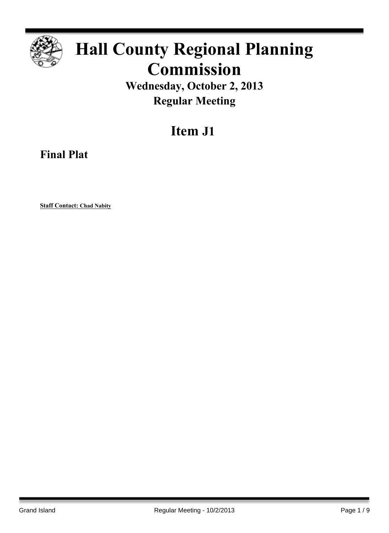

# **Hall County Regional Planning Commission**

**Wednesday, October 2, 2013 Regular Meeting**

# **Item J1**

**Final Plat**

**Staff Contact: Chad Nabity**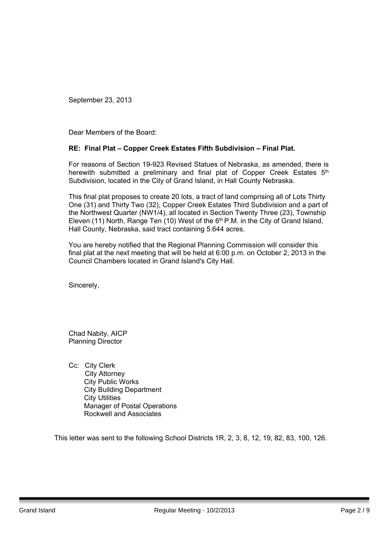Dear Members of the Board:

#### **RE: Final Plat – Copper Creek Estates Fifth Subdivision – Final Plat.**

For reasons of Section 19-923 Revised Statues of Nebraska, as amended, there is herewith submitted a preliminary and final plat of Copper Creek Estates 5<sup>th</sup> Subdivision, located in the City of Grand Island, in Hall County Nebraska.

This final plat proposes to create 20 lots, a tract of land comprising all of Lots Thirty One (31) and Thirty Two (32), Copper Creek Estates Third Subdivision and a part of the Northwest Quarter (NW1/4), all located in Section Twenty Three (23), Township Eleven (11) North, Range Ten (10) West of the  $6<sup>th</sup>$  P.M. in the City of Grand Island, Hall County, Nebraska, said tract containing 5.644 acres.

You are hereby notified that the Regional Planning Commission will consider this final plat at the next meeting that will be held at 6:00 p.m. on October 2, 2013 in the Council Chambers located in Grand Island's City Hall.

Sincerely,

Chad Nabity, AICP Planning Director

Cc: City Clerk City Attorney City Public Works City Building Department City Utilities Manager of Postal Operations Rockwell and Associates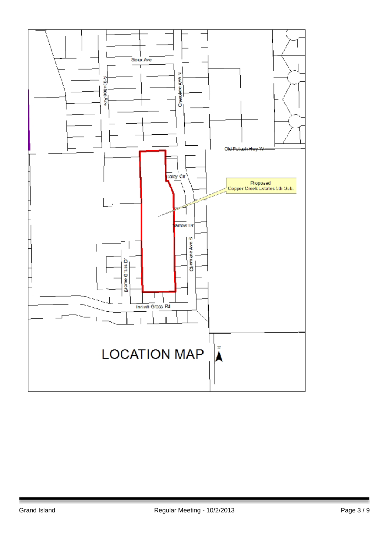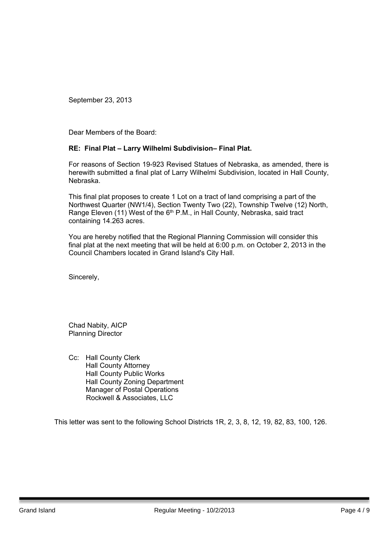Dear Members of the Board:

## **RE: Final Plat – Larry Wilhelmi Subdivision– Final Plat.**

For reasons of Section 19-923 Revised Statues of Nebraska, as amended, there is herewith submitted a final plat of Larry Wilhelmi Subdivision, located in Hall County, Nebraska.

This final plat proposes to create 1 Lot on a tract of land comprising a part of the Northwest Quarter (NW1/4), Section Twenty Two (22), Township Twelve (12) North, Range Eleven (11) West of the 6<sup>th</sup> P.M., in Hall County, Nebraska, said tract containing 14.263 acres.

You are hereby notified that the Regional Planning Commission will consider this final plat at the next meeting that will be held at 6:00 p.m. on October 2, 2013 in the Council Chambers located in Grand Island's City Hall.

Sincerely,

Chad Nabity, AICP Planning Director

Cc: Hall County Clerk Hall County Attorney Hall County Public Works Hall County Zoning Department Manager of Postal Operations Rockwell & Associates, LLC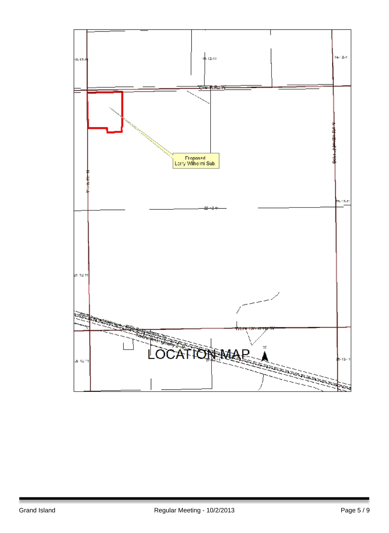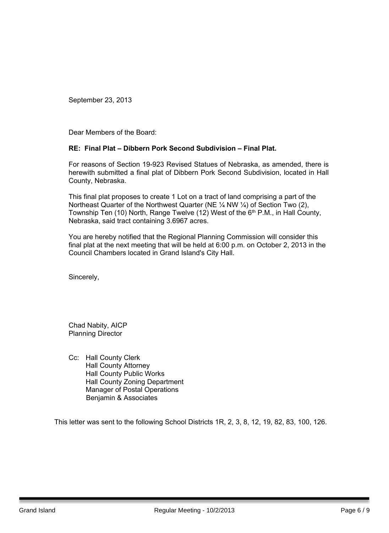Dear Members of the Board:

#### **RE: Final Plat – Dibbern Pork Second Subdivision – Final Plat.**

For reasons of Section 19-923 Revised Statues of Nebraska, as amended, there is herewith submitted a final plat of Dibbern Pork Second Subdivision, located in Hall County, Nebraska.

This final plat proposes to create 1 Lot on a tract of land comprising a part of the Northeast Quarter of the Northwest Quarter (NE ¼ NW ¼) of Section Two (2), Township Ten (10) North, Range Twelve (12) West of the 6<sup>th</sup> P.M., in Hall County, Nebraska, said tract containing 3.6967 acres.

You are hereby notified that the Regional Planning Commission will consider this final plat at the next meeting that will be held at 6:00 p.m. on October 2, 2013 in the Council Chambers located in Grand Island's City Hall.

Sincerely,

Chad Nabity, AICP Planning Director

Cc: Hall County Clerk Hall County Attorney Hall County Public Works Hall County Zoning Department Manager of Postal Operations Benjamin & Associates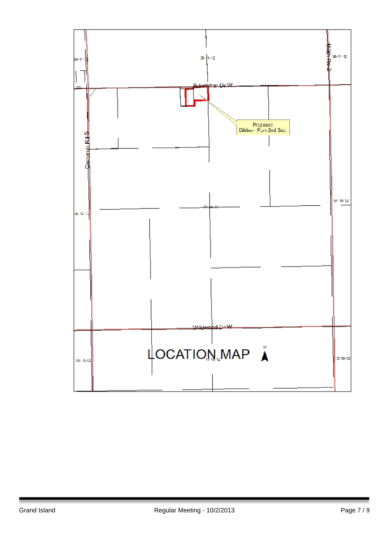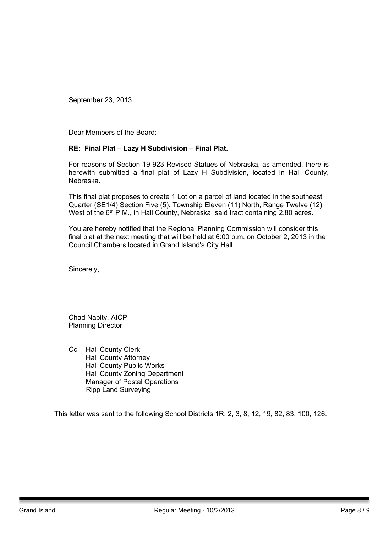Dear Members of the Board:

## **RE: Final Plat – Lazy H Subdivision – Final Plat.**

For reasons of Section 19-923 Revised Statues of Nebraska, as amended, there is herewith submitted a final plat of Lazy H Subdivision, located in Hall County, Nebraska.

This final plat proposes to create 1 Lot on a parcel of land located in the southeast Quarter (SE1/4) Section Five (5), Township Eleven (11) North, Range Twelve (12) West of the 6<sup>th</sup> P.M., in Hall County, Nebraska, said tract containing 2.80 acres.

You are hereby notified that the Regional Planning Commission will consider this final plat at the next meeting that will be held at 6:00 p.m. on October 2, 2013 in the Council Chambers located in Grand Island's City Hall.

Sincerely,

Chad Nabity, AICP Planning Director

Cc: Hall County Clerk Hall County Attorney Hall County Public Works Hall County Zoning Department Manager of Postal Operations Ripp Land Surveying